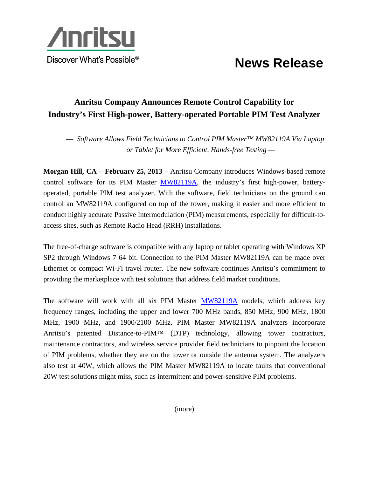

## **News Release**

## **Anritsu Company Announces Remote Control Capability for Industry's First High-power, Battery-operated Portable PIM Test Analyzer**

— *Software Allows Field Technicians to Control PIM Master™ MW82119A Via Laptop or Tablet for More Efficient, Hands-free Testing —* 

**Morgan Hill, CA – February 25, 2013 –** Anritsu Company introduces Windows-based remote control software for its PIM Master MW82119A, the industry's first high-power, batteryoperated, portable PIM test analyzer. With the software, field technicians on the ground can control an MW82119A configured on top of the tower, making it easier and more efficient to conduct highly accurate Passive Intermodulation (PIM) measurements, especially for difficult-toaccess sites, such as Remote Radio Head (RRH) installations.

The free-of-charge software is compatible with any laptop or tablet operating with Windows XP SP2 through Windows 7 64 bit. Connection to the PIM Master MW82119A can be made over Ethernet or compact Wi-Fi travel router. The new software continues Anritsu's commitment to providing the marketplace with test solutions that address field market conditions.

The software will work with all six PIM Master **MW82119A** models, which address key frequency ranges, including the upper and lower 700 MHz bands, 850 MHz, 900 MHz, 1800 MHz, 1900 MHz, and 1900/2100 MHz. PIM Master MW82119A analyzers incorporate Anritsu's patented Distance-to-PIM™ (DTP) technology, allowing tower contractors, maintenance contractors, and wireless service provider field technicians to pinpoint the location of PIM problems, whether they are on the tower or outside the antenna system. The analyzers also test at 40W, which allows the PIM Master MW82119A to locate faults that conventional 20W test solutions might miss, such as intermittent and power-sensitive PIM problems.

(more)